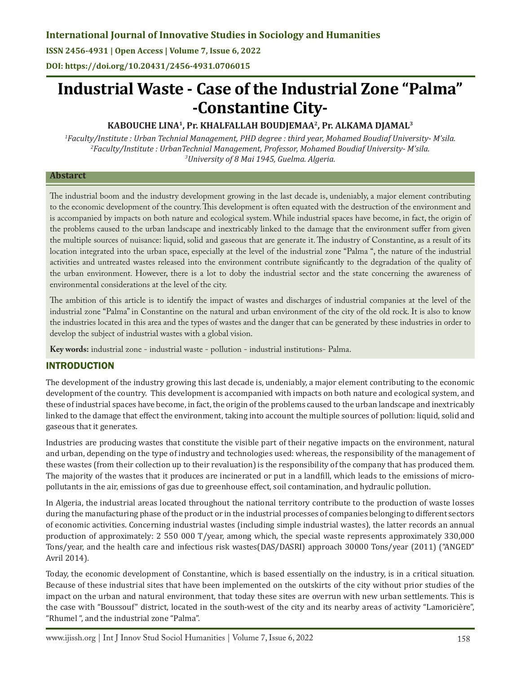**ISSN 2456-4931 | Open Access | Volume 7, Issue 6, 2022**

**DOI: https://doi.org/10.20431/2456-4931.0706015**

# **Industrial Waste - Case of the Industrial Zone "Palma" -Constantine City-**

# **KABOUCHE LINA1, Pr. KHALFALLAH BOUDJEMAA2, Pr. ALKAMA DJAMAL3**

*1 Faculty/Institute : Urban Technial Management, PHD degree : third year, Mohamed Boudiaf University- M'sila. 2 Faculty/Institute : UrbanTechnial Management, Professor, Mohamed Boudiaf University- M'sila. 3 University of 8 Mai 1945, Guelma. Algeria.*

#### **Abstarct**

The industrial boom and the industry development growing in the last decade is, undeniably, a major element contributing to the economic development of the country. This development is often equated with the destruction of the environment and is accompanied by impacts on both nature and ecological system. While industrial spaces have become, in fact, the origin of the problems caused to the urban landscape and inextricably linked to the damage that the environment suffer from given the multiple sources of nuisance: liquid, solid and gaseous that are generate it. The industry of Constantine, as a result of its location integrated into the urban space, especially at the level of the industrial zone "Palma ", the nature of the industrial activities and untreated wastes released into the environment contribute significantly to the degradation of the quality of the urban environment. However, there is a lot to doby the industrial sector and the state concerning the awareness of environmental considerations at the level of the city.

The ambition of this article is to identify the impact of wastes and discharges of industrial companies at the level of the industrial zone "Palma" in Constantine on the natural and urban environment of the city of the old rock. It is also to know the industries located in this area and the types of wastes and the danger that can be generated by these industries in order to develop the subject of industrial wastes with a global vision.

**Key words:** industrial zone - industrial waste - pollution - industrial institutions- Palma.

#### INTRODUCTION

The development of the industry growing this last decade is, undeniably, a major element contributing to the economic development of the country. This development is accompanied with impacts on both nature and ecological system, and these of industrial spaces have become, in fact, the origin of the problems caused to the urban landscape and inextricably linked to the damage that effect the environment, taking into account the multiple sources of pollution: liquid, solid and gaseous that it generates.

Industries are producing wastes that constitute the visible part of their negative impacts on the environment, natural and urban, depending on the type of industry and technologies used: whereas, the responsibility of the management of these wastes (from their collection up to their revaluation) is the responsibility of the company that has produced them. The majority of the wastes that it produces are incinerated or put in a landfill, which leads to the emissions of micropollutants in the air, emissions of gas due to greenhouse effect, soil contamination, and hydraulic pollution.

In Algeria, the industrial areas located throughout the national territory contribute to the production of waste losses during the manufacturing phase of the product or in the industrial processes of companies belonging to different sectors of economic activities. Concerning industrial wastes (including simple industrial wastes), the latter records an annual production of approximately: 2 550 000 T/year, among which, the special waste represents approximately 330,000 Tons/year, and the health care and infectious risk wastes(DAS/DASRI) approach 30000 Tons/year (2011) ("ANGED" Avril 2014).

Today, the economic development of Constantine, which is based essentially on the industry, is in a critical situation. Because of these industrial sites that have been implemented on the outskirts of the city without prior studies of the impact on the urban and natural environment, that today these sites are overrun with new urban settlements. This is the case with "Boussouf" district, located in the south-west of the city and its nearby areas of activity "Lamoricière", "Rhumel ", and the industrial zone "Palma".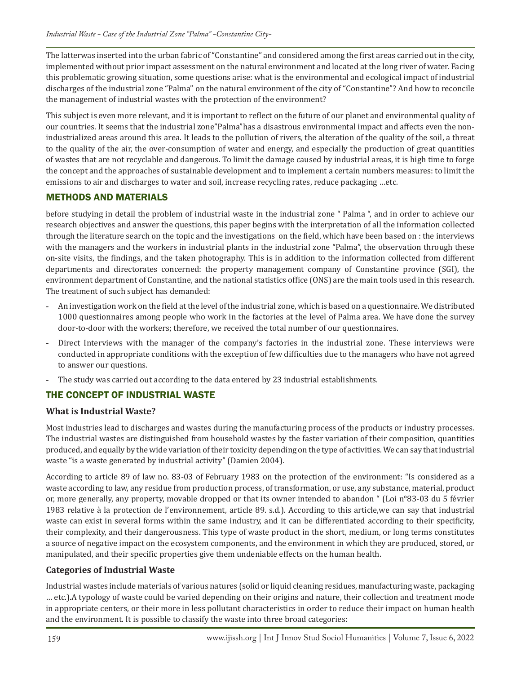The latterwas inserted into the urban fabric of "Constantine" and considered among the first areas carried out in the city, implemented without prior impact assessment on the natural environment and located at the long river of water. Facing this problematic growing situation, some questions arise: what is the environmental and ecological impact of industrial discharges of the industrial zone "Palma" on the natural environment of the city of "Constantine"? And how to reconcile the management of industrial wastes with the protection of the environment?

This subject is even more relevant, and it is important to reflect on the future of our planet and environmental quality of our countries. It seems that the industrial zone"Palma"has a disastrous environmental impact and affects even the nonindustrialized areas around this area. It leads to the pollution of rivers, the alteration of the quality of the soil, a threat to the quality of the air, the over-consumption of water and energy, and especially the production of great quantities of wastes that are not recyclable and dangerous. To limit the damage caused by industrial areas, it is high time to forge the concept and the approaches of sustainable development and to implement a certain numbers measures: to limit the emissions to air and discharges to water and soil, increase recycling rates, reduce packaging …etc.

# METHODS AND MATERIALS

before studying in detail the problem of industrial waste in the industrial zone " Palma ", and in order to achieve our research objectives and answer the questions, this paper begins with the interpretation of all the information collected through the literature search on the topic and the investigations on the field, which have been based on : the interviews with the managers and the workers in industrial plants in the industrial zone "Palma", the observation through these on-site visits, the findings, and the taken photography. This is in addition to the information collected from different departments and directorates concerned: the property management company of Constantine province (SGI), the environment department of Constantine, and the national statistics office (ONS) are the main tools used in this research. The treatment of such subject has demanded:

- An investigation work on the field at the level of the industrial zone, which is based on a questionnaire. We distributed 1000 questionnaires among people who work in the factories at the level of Palma area. We have done the survey door-to-door with the workers; therefore, we received the total number of our questionnaires.
- Direct Interviews with the manager of the company's factories in the industrial zone. These interviews were conducted in appropriate conditions with the exception of few difficulties due to the managers who have not agreed to answer our questions.
- The study was carried out according to the data entered by 23 industrial establishments.

# THE CONCEPT OF INDUSTRIAL WASTE

#### **What is Industrial Waste?**

Most industries lead to discharges and wastes during the manufacturing process of the products or industry processes. The industrial wastes are distinguished from household wastes by the faster variation of their composition, quantities produced, and equally by the wide variation of their toxicity depending on the type of activities. We can say that industrial waste "is a waste generated by industrial activity" (Damien 2004).

According to article 89 of law no. 83-03 of February 1983 on the protection of the environment: "Is considered as a waste according to law, any residue from production process, of transformation, or use, any substance, material, product or, more generally, any property, movable dropped or that its owner intended to abandon " (Loi n°83-03 du 5 février 1983 relative à la protection de l'environnement, article 89. s.d.). According to this article,we can say that industrial waste can exist in several forms within the same industry, and it can be differentiated according to their specificity, their complexity, and their dangerousness. This type of waste product in the short, medium, or long terms constitutes a source of negative impact on the ecosystem components, and the environment in which they are produced, stored, or manipulated, and their specific properties give them undeniable effects on the human health.

#### **Categories of Industrial Waste**

Industrial wastes include materials of various natures (solid or liquid cleaning residues, manufacturing waste, packaging … etc.).A typology of waste could be varied depending on their origins and nature, their collection and treatment mode in appropriate centers, or their more in less pollutant characteristics in order to reduce their impact on human health and the environment. It is possible to classify the waste into three broad categories: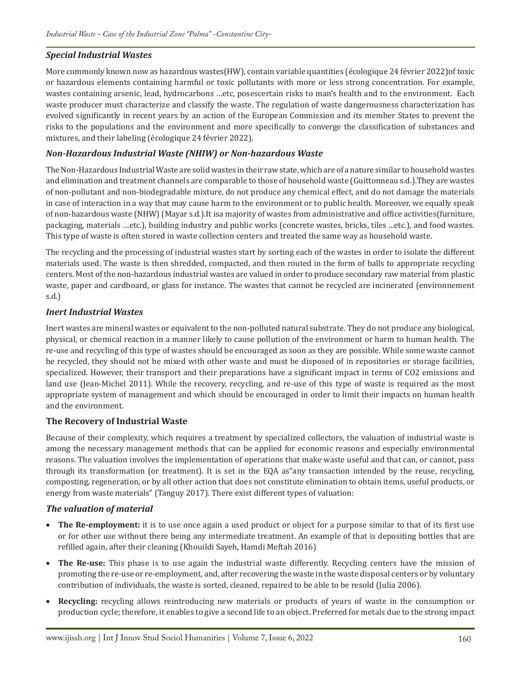#### *Special Industrial Wastes*

More commonly known now as hazardous wastes(HW), contain variable quantities (écologique 24 février 2022)of toxic or hazardous elements containing harmful or toxic pollutants with more or less strong concentration. For example, wastes containing arsenic, lead, hydrocarbons …etc, posescertain risks to man's health and to the environment. Each waste producer must characterize and classify the waste. The regulation of waste dangerousness characterization has evolved significantly in recent years by an action of the European Commission and its member States to prevent the risks to the populations and the environment and more specifically to converge the classification of substances and mixtures, and their labeling (écologique 24 février 2022).

#### *Non-Hazardous Industrial Waste (NHIW) or Non-hazardous Waste*

The Non-Hazardous Industrial Waste are solid wastes in their raw state, which are of a nature similar to household wastes and elimination and treatment channels are comparable to those of household waste (Guittonneau s.d.).They are wastes of non-pollutant and non-biodegradable mixture, do not produce any chemical effect, and do not damage the materials in case of interaction in a way that may cause harm to the environment or to public health. Moreover, we equally speak of non-hazardous waste (NHW) (Mayar s.d.).It isa majority of wastes from administrative and office activities(furniture, packaging, materials …etc.), building industry and public works (concrete wastes, bricks, tiles ...etc.), and food wastes. This type of waste is often stored in waste collection centers and treated the same way as household waste.

The recycling and the processing of industrial wastes start by sorting each of the wastes in order to isolate the different materials used. The waste is then shredded, compacted, and then routed in the form of balls to appropriate recycling centers. Most of the non-hazardous industrial wastes are valued in order to produce secondary raw material from plastic waste, paper and cardboard, or glass for instance. The wastes that cannot be recycled are incinerated (environnement s.d.)

#### *Inert Industrial Wastes*

Inert wastes are mineral wastes or equivalent to the non-polluted natural substrate. They do not produce any biological, physical, or chemical reaction in a manner likely to cause pollution of the environment or harm to human health. The re-use and recycling of this type of wastes should be encouraged as soon as they are possible. While some waste cannot be recycled, they should not be mixed with other waste and must be disposed of in repositories or storage facilities, specialized. However, their transport and their preparations have a significant impact in terms of CO2 emissions and land use (Jean-Michel 2011). While the recovery, recycling, and re-use of this type of waste is required as the most appropriate system of management and which should be encouraged in order to limit their impacts on human health and the environment.

#### **The Recovery of Industrial Waste**

Because of their complexity, which requires a treatment by specialized collectors, the valuation of industrial waste is among the necessary management methods that can be applied for economic reasons and especially environmental reasons. The valuation involves the implementation of operations that make waste useful and that can, or cannot, pass through its transformation (or treatment). It is set in the EQA as"any transaction intended by the reuse, recycling, composting, regeneration, or by all other action that does not constitute elimination to obtain items, useful products, or energy from waste materials" (Tanguy 2017). There exist different types of valuation:

#### *The valuation of material*

- **The Re-employment:** it is to use once again a used product or object for a purpose similar to that of its first use or for other use without there being any intermediate treatment. An example of that is depositing bottles that are refilled again, after their cleaning (Khouildi Sayeh, Hamdi Meftah 2016)
- **The Re-use:** This phase is to use again the industrial waste differently. Recycling centers have the mission of promoting the re-use or re-employment, and, after recovering the waste in the waste disposal centers or by voluntary contribution of individuals, the waste is sorted, cleaned, repaired to be able to be resold (Julia 2006).
- • **Recycling:** recycling allows reintroducing new materials or products of years of waste in the consumption or production cycle; therefore, it enables to give a second life to an object. Preferred for metals due to the strong impact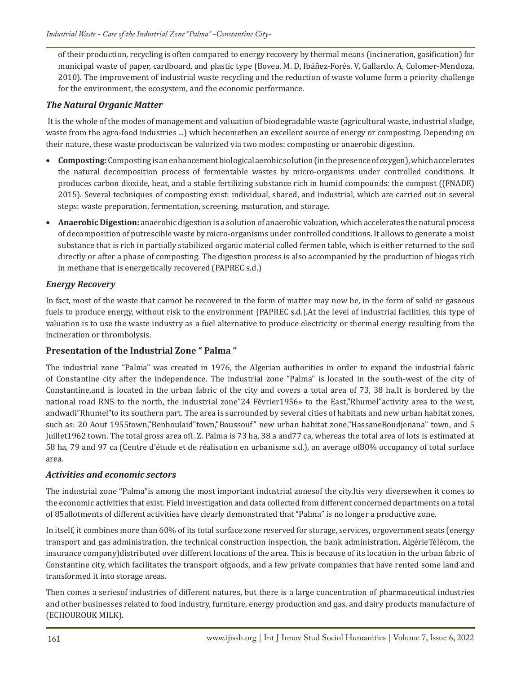of their production, recycling is often compared to energy recovery by thermal means (incineration, gasification) for municipal waste of paper, cardboard, and plastic type (Bovea. M. D, Ibáñez-Forés. V, Gallardo. A, Colomer-Mendoza. 2010). The improvement of industrial waste recycling and the reduction of waste volume form a priority challenge for the environment, the ecosystem, and the economic performance.

#### *The Natural Organic Matter*

It is the whole of the modes of management and valuation of biodegradable waste (agricultural waste, industrial sludge, waste from the agro-food industries ...) which becomethen an excellent source of energy or composting. Depending on their nature, these waste productscan be valorized via two modes: composting or anaerobic digestion.

- • **Composting:** Composting is an enhancement biological aerobic solution (in the presence of oxygen), which accelerates the natural decomposition process of fermentable wastes by micro-organisms under controlled conditions. It produces carbon dioxide, heat, and a stable fertilizing substance rich in humid compounds: the compost ((FNADE) 2015). Several techniques of composting exist: individual, shared, and industrial, which are carried out in several steps: waste preparation, fermentation, screening, maturation, and storage.
- • **Anaerobic Digestion:** anaerobic digestion is a solution of anaerobic valuation, which accelerates the natural process of decomposition of putrescible waste by micro-organisms under controlled conditions. It allows to generate a moist substance that is rich in partially stabilized organic material called fermen table, which is either returned to the soil directly or after a phase of composting. The digestion process is also accompanied by the production of biogas rich in methane that is energetically recovered (PAPREC s.d.)

#### *Energy Recovery*

In fact, most of the waste that cannot be recovered in the form of matter may now be, in the form of solid or gaseous fuels to produce energy, without risk to the environment (PAPREC s.d.).At the level of industrial facilities, this type of valuation is to use the waste industry as a fuel alternative to produce electricity or thermal energy resulting from the incineration or thrombolysis.

#### **Presentation of the Industrial Zone " Palma "**

The industrial zone "Palma" was created in 1976, the Algerian authorities in order to expand the industrial fabric of Constantine city after the independence. The industrial zone "Palma" is located in the south-west of the city of Constantine,and is located in the urban fabric of the city and covers a total area of 73, 38 ha.It is bordered by the national road RN5 to the north, the industrial zone"24 Février1956» to the East,"Rhumel"activity area to the west, andwadi"Rhumel"to its southern part. The area is surrounded by several cities of habitats and new urban habitat zones, such as: 20 Aout 1955town,"Benboulaid"town,"Boussouf" new urban habitat zone,"HassaneBoudjenana" town, and 5 Juillet1962 town. The total gross area ofI. Z. Palma is 73 ha, 38 a and77 ca, whereas the total area of lots is estimated at 58 ha, 79 and 97 ca (Centre d'étude et de réalisation en urbanisme s.d.), an average of80% occupancy of total surface area.

#### *Activities and economic sectors*

The industrial zone "Palma"is among the most important industrial zonesof the city.Itis very diversewhen it comes to the economic activities that exist. Field investigation and data collected from different concerned departments on a total of 85allotments of different activities have clearly demonstrated that "Palma" is no longer a productive zone.

In itself, it combines more than 60% of its total surface zone reserved for storage, services, orgovernment seats (energy transport and gas administration, the technical construction inspection, the bank administration, AlgérieTélécom, the insurance company)distributed over different locations of the area. This is because of its location in the urban fabric of Constantine city, which facilitates the transport ofgoods, and a few private companies that have rented some land and transformed it into storage areas.

Then comes a seriesof industries of different natures, but there is a large concentration of pharmaceutical industries and other businesses related to food industry, furniture, energy production and gas, and dairy products manufacture of (ECHOUROUK MILK).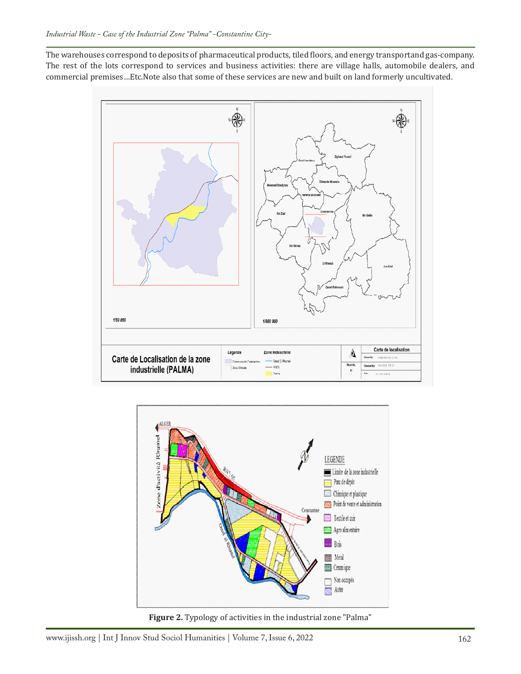The warehouses correspond to deposits of pharmaceutical products, tiled floors, and energy transportand gas-company. The rest of the lots correspond to services and business activities: there are village halls, automobile dealers, and commercial premises…Etc.Note also that some of these services are new and built on land formerly uncultivated.





**Figure 2.** Typology of activities in the industrial zone "Palma"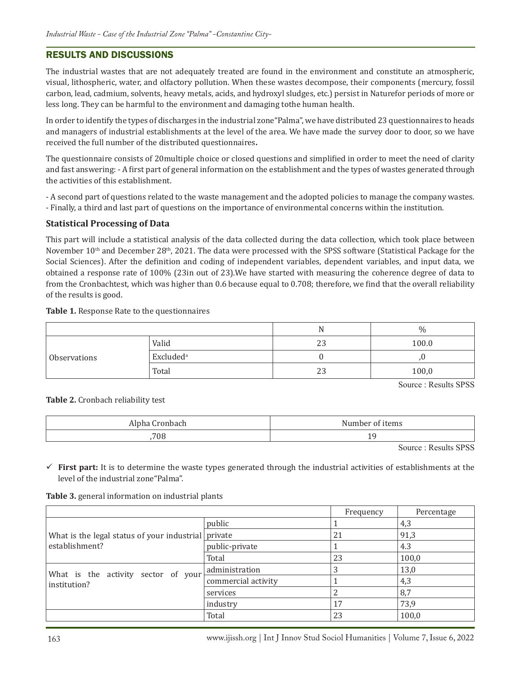# RESULTS AND DISCUSSIONS

The industrial wastes that are not adequately treated are found in the environment and constitute an atmospheric, visual, lithospheric, water, and olfactory pollution. When these wastes decompose, their components (mercury, fossil carbon, lead, cadmium, solvents, heavy metals, acids, and hydroxyl sludges, etc.) persist in Naturefor periods of more or less long. They can be harmful to the environment and damaging tothe human health.

In order to identify the types of discharges in the industrial zone"Palma", we have distributed 23 questionnaires to heads and managers of industrial establishments at the level of the area. We have made the survey door to door, so we have received the full number of the distributed questionnaires**.**

The questionnaire consists of 20multiple choice or closed questions and simplified in order to meet the need of clarity and fast answering: - A first part of general information on the establishment and the types of wastes generated through the activities of this establishment.

- A second part of questions related to the waste management and the adopted policies to manage the company wastes. - Finally, a third and last part of questions on the importance of environmental concerns within the institution.

#### **Statistical Processing of Data**

This part will include a statistical analysis of the data collected during the data collection, which took place between November  $10<sup>th</sup>$  and December  $28<sup>th</sup>$ , 2021. The data were processed with the SPSS software (Statistical Package for the Social Sciences). After the definition and coding of independent variables, dependent variables, and input data, we obtained a response rate of 100% (23in out of 23).We have started with measuring the coherence degree of data to from the Cronbachtest, which was higher than 0.6 because equal to 0.708; therefore, we find that the overall reliability of the results is good.

#### **Table 1.** Response Rate to the questionnaires

|              |                       | N  | $\%$  |
|--------------|-----------------------|----|-------|
|              | Valid                 | 23 | 100.0 |
| Observations | Excluded <sup>a</sup> |    |       |
|              | Total                 | 23 | 100,0 |

Source : Results SPSS

#### **Table 2.** Cronbach reliability test

| Number of items<br>Alpha Cronbach |                                            |
|-----------------------------------|--------------------------------------------|
| 708                               |                                            |
|                                   | $\sim$ $\alpha$ p $\alpha$<br>$\mathbf{r}$ |

Source : Results SPSS

 **First part:** It is to determine the waste types generated through the industrial activities of establishments at the level of the industrial zone"Palma".

#### **Table 3.** general information on industrial plants

|                                                     |                     | Frequency | Percentage |
|-----------------------------------------------------|---------------------|-----------|------------|
|                                                     | public              |           | 4,3        |
| What is the legal status of your industrial private |                     | 21        | 91,3       |
| establishment?                                      | public-private      |           | 4.3        |
|                                                     | Total               | 23        | 100,0      |
| What is the activity sector of your<br>institution? | administration      | 3         | 13,0       |
|                                                     | commercial activity |           | 4,3        |
|                                                     | services            | 2         | 8,7        |
|                                                     | industry            | 17        | 73,9       |
|                                                     | Total               | 23        | 100,0      |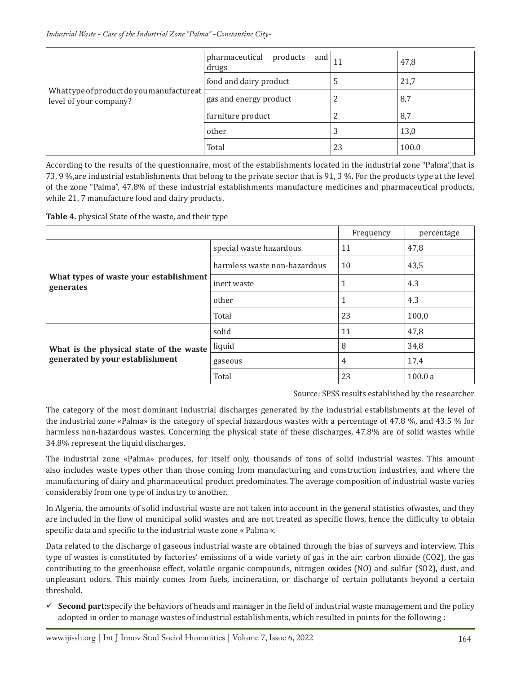|                                                                     | pharmaceutical products<br>and $\vert$ 11<br>drugs |    | 47,8  |
|---------------------------------------------------------------------|----------------------------------------------------|----|-------|
|                                                                     | food and dairy product                             | C  | 21,7  |
| What type of product do you manufactureat<br>level of your company? | gas and energy product                             | ▵  | 8,7   |
|                                                                     | furniture product                                  | ∼  | 8,7   |
|                                                                     | other                                              | Ć  | 13,0  |
|                                                                     | Total                                              | 23 | 100.0 |

According to the results of the questionnaire, most of the establishments located in the industrial zone "Palma",that is 73, 9 %,are industrial establishments that belong to the private sector that is 91, 3 %. For the products type at the level of the zone "Palma", 47.8% of these industrial establishments manufacture medicines and pharmaceutical products, while 21, 7 manufacture food and dairy products.

**Table 4.** physical State of the waste, and their type

|                                                                            |                              | Frequency | percentage |
|----------------------------------------------------------------------------|------------------------------|-----------|------------|
| What types of waste your establishment<br>generates                        | special waste hazardous      | 11        | 47,8       |
|                                                                            | harmless waste non-hazardous | 10        | 43,5       |
|                                                                            | inert waste                  | 1         | 4.3        |
|                                                                            | other                        | 1         | 4.3        |
|                                                                            | Total                        | 23        | 100,0      |
| What is the physical state of the waste<br>generated by your establishment | solid                        | 11        | 47,8       |
|                                                                            | liquid                       | 8         | 34,8       |
|                                                                            | gaseous                      | 4         | 17,4       |
|                                                                            | Total                        | 23        | 100.0a     |

Source: SPSS results established by the researcher

The category of the most dominant industrial discharges generated by the industrial establishments at the level of the industrial zone «Palma» is the category of special hazardous wastes with a percentage of 47.8 %, and 43.5 % for harmless non-hazardous wastes. Concerning the physical state of these discharges, 47.8% are of solid wastes while 34.8% represent the liquid discharges.

The industrial zone «Palma» produces, for itself only, thousands of tons of solid industrial wastes. This amount also includes waste types other than those coming from manufacturing and construction industries, and where the manufacturing of dairy and pharmaceutical product predominates. The average composition of industrial waste varies considerably from one type of industry to another.

In Algeria, the amounts of solid industrial waste are not taken into account in the general statistics ofwastes, and they are included in the flow of municipal solid wastes and are not treated as specific flows, hence the difficulty to obtain specific data and specific to the industrial waste zone « Palma «.

Data related to the discharge of gaseous industrial waste are obtained through the bias of surveys and interview. This type of wastes is constituted by factories' emissions of a wide variety of gas in the air: carbon dioxide (CO2), the gas contributing to the greenhouse effect, volatile organic compounds, nitrogen oxides (NO) and sulfur (SO2), dust, and unpleasant odors. This mainly comes from fuels, incineration, or discharge of certain pollutants beyond a certain threshold.

 **Second part:**specify the behaviors of heads and manager in the field of industrial waste management and the policy adopted in order to manage wastes of industrial establishments, which resulted in points for the following :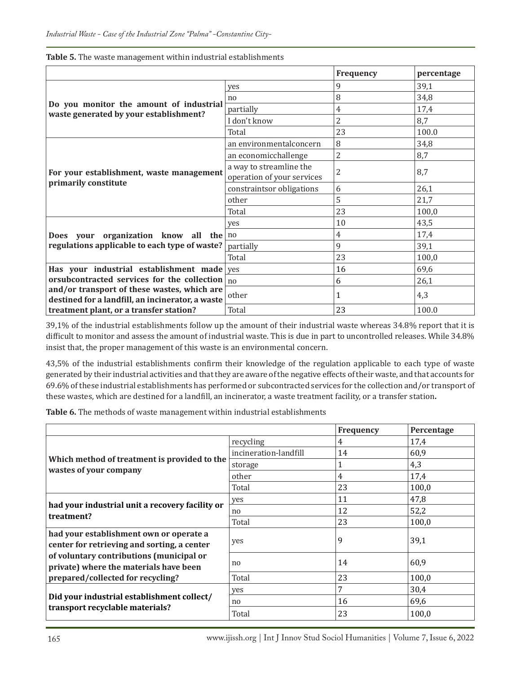|                                                                                                 |                                                       | Frequency      | percentage |
|-------------------------------------------------------------------------------------------------|-------------------------------------------------------|----------------|------------|
|                                                                                                 | ves                                                   | 9              | 39,1       |
|                                                                                                 | n <sub>0</sub>                                        | 8              | 34,8       |
| Do you monitor the amount of industrial<br>waste generated by your establishment?               | partially                                             | 4              | 17,4       |
|                                                                                                 | I don't know                                          | $\overline{2}$ | 8,7        |
|                                                                                                 | Total                                                 | 23             | 100.0      |
|                                                                                                 | an environmentalconcern                               | 8              | 34,8       |
|                                                                                                 | an economicchallenge                                  | $\mathbf{2}$   | 8,7        |
| For your establishment, waste management                                                        | a way to streamline the<br>operation of your services | $\overline{2}$ | 8,7        |
| primarily constitute                                                                            | constraintsor obligations                             | 6              | 26,1       |
|                                                                                                 | other                                                 | 5              | 21,7       |
|                                                                                                 | Total                                                 | 23             | 100,0      |
|                                                                                                 | yes                                                   | 10             | 43,5       |
| Does your organization know all the no                                                          |                                                       | 4              | 17,4       |
| regulations applicable to each type of waste?                                                   | partially                                             | 9              | 39,1       |
|                                                                                                 | Total                                                 | 23             | 100,0      |
| Has your industrial establishment made yes                                                      |                                                       | 16             | 69,6       |
| orsubcontracted services for the collection                                                     | no                                                    | 6              | 26,1       |
| and/or transport of these wastes, which are<br>destined for a landfill, an incinerator, a waste | other                                                 | 1              | 4,3        |
| treatment plant, or a transfer station?                                                         | Total                                                 | 23             | 100.0      |

#### **Table 5.** The waste management within industrial establishments

39,1% of the industrial establishments follow up the amount of their industrial waste whereas 34.8% report that it is difficult to monitor and assess the amount of industrial waste. This is due in part to uncontrolled releases. While 34.8% insist that, the proper management of this waste is an environmental concern.

43,5% of the industrial establishments confirm their knowledge of the regulation applicable to each type of waste generated by their industrial activities and that they are aware of the negative effects of their waste, and that accounts for 69.6% of these industrial establishments has performed or subcontracted services for the collection and/or transport of these wastes, which are destined for a landfill, an incinerator, a waste treatment facility, or a transfer station**.**

**Table 6.** The methods of waste management within industrial establishments

|                                                                               |                       | <b>Frequency</b> | Percentage |
|-------------------------------------------------------------------------------|-----------------------|------------------|------------|
|                                                                               | recycling             | 4                | 17,4       |
|                                                                               | incineration-landfill | 14               | 60,9       |
| Which method of treatment is provided to the<br>wastes of your company        | storage               |                  | 4,3        |
|                                                                               | other                 | $\overline{4}$   | 17,4       |
|                                                                               | Total                 | 23               | 100,0      |
|                                                                               | yes                   | 11               | 47,8       |
| had your industrial unit a recovery facility or<br>treatment?                 | no                    | 12               | 52,2       |
|                                                                               | Total                 | 23               | 100,0      |
| had your establishment own or operate a                                       |                       |                  |            |
| center for retrieving and sorting, a center                                   | 9<br>yes              |                  | 39,1       |
| of voluntary contributions (municipal or                                      | 14                    |                  |            |
| private) where the materials have been                                        | no                    |                  | 60,9       |
| prepared/collected for recycling?                                             | Total                 | 23               | 100,0      |
|                                                                               | yes                   | 7                | 30,4       |
| Did your industrial establishment collect/<br>transport recyclable materials? | no                    | 16               | 69,6       |
|                                                                               | Total                 | 23               | 100.0      |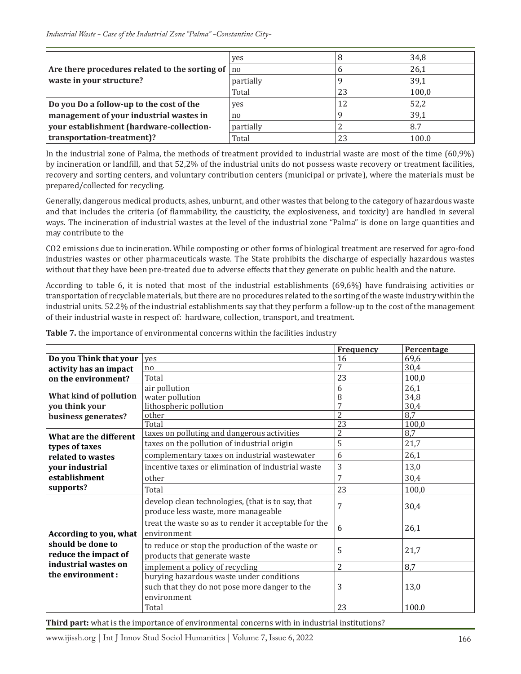|                                                       | yes       |    | 34,8  |
|-------------------------------------------------------|-----------|----|-------|
| Are there procedures related to the sorting of $ no $ |           |    | 26,1  |
| waste in your structure?                              | partially |    | 39,1  |
|                                                       | Total     | 23 | 100,0 |
| Do you Do a follow-up to the cost of the              | yes       | 12 | 52,2  |
| management of your industrial wastes in               | no        |    | 39.1  |
| your establishment (hardware-collection-              | partially |    | 8.7   |
| transportation-treatment)?                            | Total     | 23 | 100.0 |

In the industrial zone of Palma, the methods of treatment provided to industrial waste are most of the time (60,9%) by incineration or landfill, and that 52,2% of the industrial units do not possess waste recovery or treatment facilities, recovery and sorting centers, and voluntary contribution centers (municipal or private), where the materials must be prepared/collected for recycling.

Generally, dangerous medical products, ashes, unburnt, and other wastes that belong to the category of hazardous waste and that includes the criteria (of flammability, the causticity, the explosiveness, and toxicity) are handled in several ways. The incineration of industrial wastes at the level of the industrial zone "Palma" is done on large quantities and may contribute to the

CO2 emissions due to incineration. While composting or other forms of biological treatment are reserved for agro-food industries wastes or other pharmaceuticals waste. The State prohibits the discharge of especially hazardous wastes without that they have been pre-treated due to adverse effects that they generate on public health and the nature.

According to table 6, it is noted that most of the industrial establishments (69,6%) have fundraising activities or transportation of recyclable materials, but there are no procedures related to the sorting of the waste industry within the industrial units. 52.2% of the industrial establishments say that they perform a follow-up to the cost of the management of their industrial waste in respect of: hardware, collection, transport, and treatment.

|                                           |                                                                                          | Frequency       | Percentage |
|-------------------------------------------|------------------------------------------------------------------------------------------|-----------------|------------|
| Do you Think that your                    | yes                                                                                      | 16              | 69,6       |
| activity has an impact                    | no                                                                                       | 7               | 30,4       |
| on the environment?                       | Total                                                                                    | 23              | 100,0      |
|                                           | air pollution                                                                            | 6               | 26,1       |
| What kind of pollution                    | water pollution                                                                          | $\overline{8}$  | 34,8       |
| you think your                            | lithospheric pollution                                                                   | 7               | 30,4       |
| business generates?                       | other                                                                                    | $\overline{2}$  | 8,7        |
|                                           | Total                                                                                    | $\overline{23}$ | 100,0      |
| What are the different                    | taxes on polluting and dangerous activities                                              | $\overline{2}$  | 8,7        |
| types of taxes                            | taxes on the pollution of industrial origin                                              | 5               | 21,7       |
| related to wastes                         | complementary taxes on industrial wastewater                                             | 6               | 26,1       |
| your industrial                           | incentive taxes or elimination of industrial waste                                       | 3               | 13,0       |
| establishment                             | other                                                                                    | 7               | 30,4       |
| supports?                                 | Total                                                                                    | 23              | 100,0      |
|                                           | develop clean technologies, (that is to say, that<br>produce less waste, more manageable | 7               | 30,4       |
| According to you, what                    | treat the waste so as to render it acceptable for the<br>environment                     | 6               | 26,1       |
| should be done to<br>reduce the impact of | to reduce or stop the production of the waste or<br>products that generate waste         | 5               | 21,7       |
| industrial wastes on                      | implement a policy of recycling                                                          | $\overline{2}$  | 8,7        |
| the environment:                          | burying hazardous waste under conditions                                                 |                 |            |
|                                           | such that they do not pose more danger to the                                            | 3               | 13,0       |
|                                           | environment                                                                              |                 |            |
|                                           | Total                                                                                    | 23              | 100.0      |

Table 7. the importance of environmental concerns within the facilities industry

**Third part:** what is the importance of environmental concerns with in industrial institutions?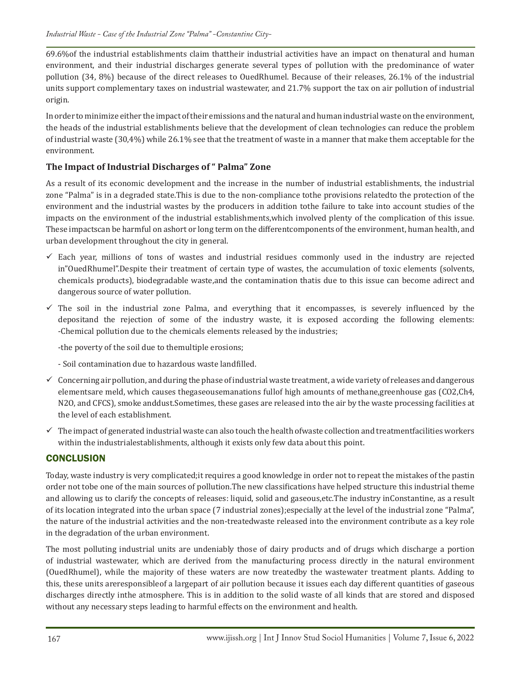69.6%of the industrial establishments claim thattheir industrial activities have an impact on thenatural and human environment, and their industrial discharges generate several types of pollution with the predominance of water pollution (34, 8%) because of the direct releases to OuedRhumel. Because of their releases, 26.1% of the industrial units support complementary taxes on industrial wastewater, and 21.7% support the tax on air pollution of industrial origin.

In order to minimize either the impact of their emissions and the natural and human industrial waste on the environment, the heads of the industrial establishments believe that the development of clean technologies can reduce the problem of industrial waste (30,4%) while 26.1% see that the treatment of waste in a manner that make them acceptable for the environment.

# **The Impact of Industrial Discharges of " Palma" Zone**

As a result of its economic development and the increase in the number of industrial establishments, the industrial zone "Palma" is in a degraded state.This is due to the non-compliance tothe provisions relatedto the protection of the environment and the industrial wastes by the producers in addition tothe failure to take into account studies of the impacts on the environment of the industrial establishments,which involved plenty of the complication of this issue. These impactscan be harmful on ashort or long term on the differentcomponents of the environment, human health, and urban development throughout the city in general.

- $\checkmark$  Each year, millions of tons of wastes and industrial residues commonly used in the industry are rejected in"OuedRhumel".Despite their treatment of certain type of wastes, the accumulation of toxic elements (solvents, chemicals products), biodegradable waste,and the contamination thatis due to this issue can become adirect and dangerous source of water pollution.
- $\checkmark$  The soil in the industrial zone Palma, and everything that it encompasses, is severely influenced by the depositand the rejection of some of the industry waste, it is exposed according the following elements: -Chemical pollution due to the chemicals elements released by the industries;

-the poverty of the soil due to themultiple erosions;

- Soil contamination due to hazardous waste landfilled.

- $\checkmark$  Concerning air pollution, and during the phase of industrial waste treatment, a wide variety of releases and dangerous elementsare meld, which causes thegaseousemanations fullof high amounts of methane,greenhouse gas (CO2,Ch4, N2O, and CFCS), smoke anddust.Sometimes, these gases are released into the air by the waste processing facilities at the level of each establishment.
- $\checkmark$  The impact of generated industrial waste can also touch the health ofwaste collection and treatmentfacilities workers within the industrialestablishments, although it exists only few data about this point.

#### **CONCLUSION**

Today, waste industry is very complicated;it requires a good knowledge in order not to repeat the mistakes of the pastin order not tobe one of the main sources of pollution.The new classifications have helped structure this industrial theme and allowing us to clarify the concepts of releases: liquid, solid and gaseous,etc.The industry inConstantine, as a result of its location integrated into the urban space (7 industrial zones);especially at the level of the industrial zone "Palma", the nature of the industrial activities and the non-treatedwaste released into the environment contribute as a key role in the degradation of the urban environment.

The most polluting industrial units are undeniably those of dairy products and of drugs which discharge a portion of industrial wastewater, which are derived from the manufacturing process directly in the natural environment (OuedRhumel), while the majority of these waters are now treatedby the wastewater treatment plants. Adding to this, these units areresponsibleof a largepart of air pollution because it issues each day different quantities of gaseous discharges directly inthe atmosphere. This is in addition to the solid waste of all kinds that are stored and disposed without any necessary steps leading to harmful effects on the environment and health.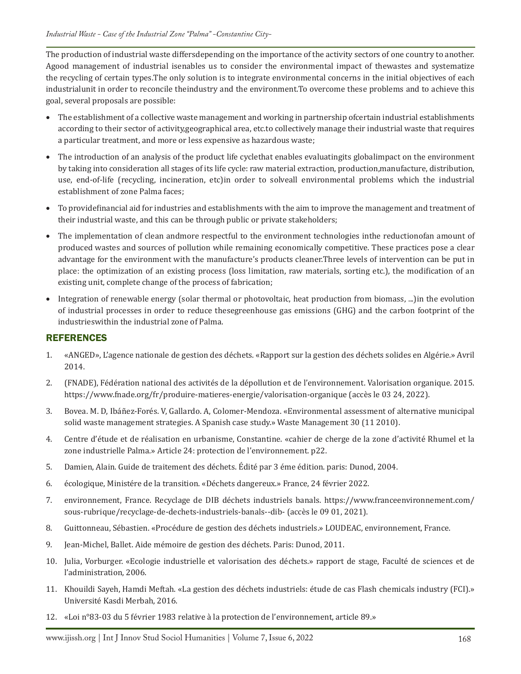The production of industrial waste differsdepending on the importance of the activity sectors of one country to another. Agood management of industrial isenables us to consider the environmental impact of thewastes and systematize the recycling of certain types.The only solution is to integrate environmental concerns in the initial objectives of each industrialunit in order to reconcile theindustry and the environment.To overcome these problems and to achieve this goal, several proposals are possible:

- • The establishment of a collective waste management and working in partnership ofcertain industrial establishments according to their sector of activity,geographical area, etc.to collectively manage their industrial waste that requires a particular treatment, and more or less expensive as hazardous waste;
- The introduction of an analysis of the product life cyclethat enables evaluatingits globalimpact on the environment by taking into consideration all stages of its life cycle: raw material extraction, production,manufacture, distribution, use, end-of-life (recycling, incineration, etc)in order to solveall environmental problems which the industrial establishment of zone Palma faces;
- • To providefinancial aid for industries and establishments with the aim to improve the management and treatment of their industrial waste, and this can be through public or private stakeholders;
- The implementation of clean andmore respectful to the environment technologies inthe reductionofan amount of produced wastes and sources of pollution while remaining economically competitive. These practices pose a clear advantage for the environment with the manufacture's products cleaner.Three levels of intervention can be put in place: the optimization of an existing process (loss limitation, raw materials, sorting etc.), the modification of an existing unit, complete change of the process of fabrication;
- • Integration of renewable energy (solar thermal or photovoltaic, heat production from biomass, ...)in the evolution of industrial processes in order to reduce thesegreenhouse gas emissions (GHG) and the carbon footprint of the industrieswithin the industrial zone of Palma.

### REFERENCES

- 1. «ANGED», L'agence nationale de gestion des déchets. «Rapport sur la gestion des déchets solides en Algérie.» Avril 2014.
- 2. (FNADE), Fédération national des activités de la dépollution et de l'environnement. Valorisation organique. 2015. https://www.fnade.org/fr/produire-matieres-energie/valorisation-organique (accès le 03 24, 2022).
- 3. Bovea. M. D, Ibáñez-Forés. V, Gallardo. A, Colomer-Mendoza. «Environmental assessment of alternative municipal solid waste management strategies. A Spanish case study.» Waste Management 30 (11 2010).
- 4. Centre d'étude et de réalisation en urbanisme, Constantine. «cahier de cherge de la zone d'activité Rhumel et la zone industrielle Palma.» Article 24: protection de l'environnement. p22.
- 5. Damien, Alain. Guide de traitement des déchets. Édité par 3 éme édition. paris: Dunod, 2004.
- 6. écologique, Ministére de la transition. «Déchets dangereux.» France, 24 février 2022.
- 7. environnement, France. Recyclage de DIB déchets industriels banals. https://www.franceenvironnement.com/ sous-rubrique/recyclage-de-dechets-industriels-banals--dib- (accès le 09 01, 2021).
- 8. Guittonneau, Sébastien. «Procédure de gestion des déchets industriels.» LOUDEAC, environnement, France.
- 9. Jean-Michel, Ballet. Aide mémoire de gestion des déchets. Paris: Dunod, 2011.
- 10. Julia, Vorburger. «Ecologie industrielle et valorisation des déchets.» rapport de stage, Faculté de sciences et de l'administration, 2006.
- 11. Khouildi Sayeh, Hamdi Meftah. «La gestion des déchets industriels: étude de cas Flash chemicals industry (FCI).» Université Kasdi Merbah, 2016.
- 12. «Loi n°83-03 du 5 février 1983 relative à la protection de l'environnement, article 89.»